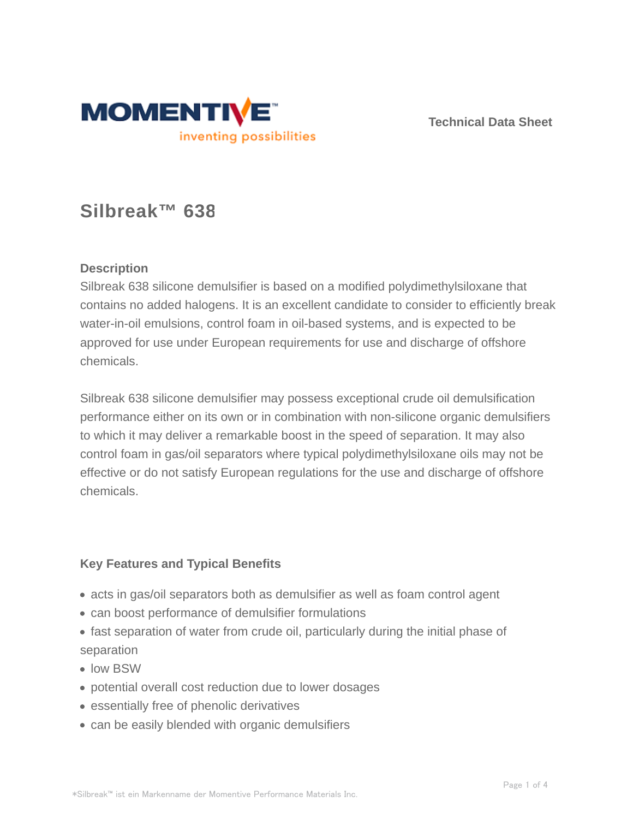

**Technical Data Sheet**

# **Silbreak™ 638**

# **Description**

Silbreak 638 silicone demulsifier is based on a modified polydimethylsiloxane that contains no added halogens. It is an excellent candidate to consider to efficiently break water-in-oil emulsions, control foam in oil-based systems, and is expected to be approved for use under European requirements for use and discharge of offshore chemicals.

Silbreak 638 silicone demulsifier may possess exceptional crude oil demulsification performance either on its own or in combination with non-silicone organic demulsifiers to which it may deliver a remarkable boost in the speed of separation. It may also control foam in gas/oil separators where typical polydimethylsiloxane oils may not be effective or do not satisfy European regulations for the use and discharge of offshore chemicals.

# **Key Features and Typical Benefits**

- acts in gas/oil separators both as demulsifier as well as foam control agent
- can boost performance of demulsifier formulations
- fast separation of water from crude oil, particularly during the initial phase of separation
- low BSW
- potential overall cost reduction due to lower dosages
- essentially free of phenolic derivatives
- can be easily blended with organic demulsifiers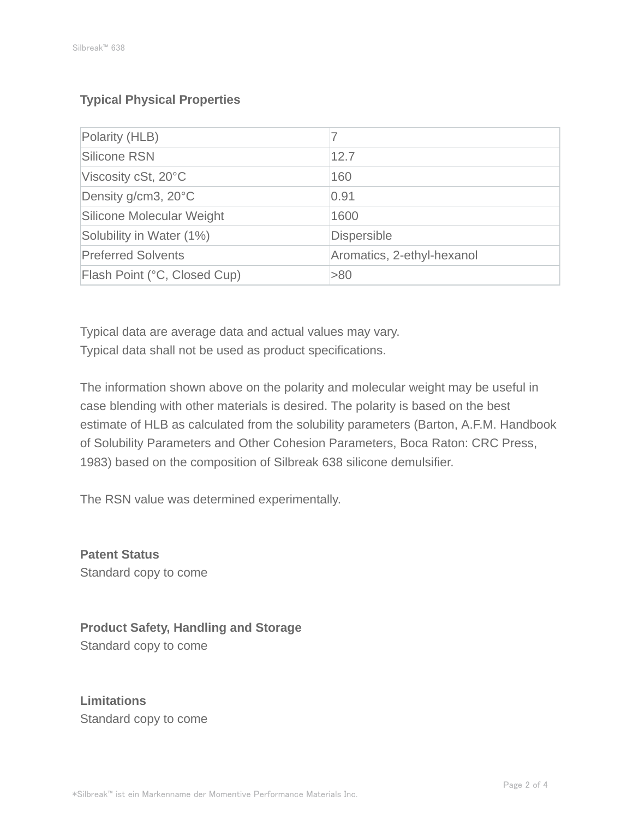# **Typical Physical Properties**

| Polarity (HLB)               |                            |
|------------------------------|----------------------------|
| Silicone RSN                 | 12.7                       |
| Viscosity cSt, 20°C          | 160                        |
| Density g/cm3, 20°C          | 0.91                       |
| Silicone Molecular Weight    | 1600                       |
| Solubility in Water (1%)     | <b>Dispersible</b>         |
| <b>Preferred Solvents</b>    | Aromatics, 2-ethyl-hexanol |
| Flash Point (°C, Closed Cup) | >80                        |

Typical data are average data and actual values may vary. Typical data shall not be used as product specifications.

The information shown above on the polarity and molecular weight may be useful in case blending with other materials is desired. The polarity is based on the best estimate of HLB as calculated from the solubility parameters (Barton, A.F.M. Handbook of Solubility Parameters and Other Cohesion Parameters, Boca Raton: CRC Press, 1983) based on the composition of Silbreak 638 silicone demulsifier.

The RSN value was determined experimentally.

**Patent Status** Standard copy to come

**Product Safety, Handling and Storage** Standard copy to come

**Limitations** Standard copy to come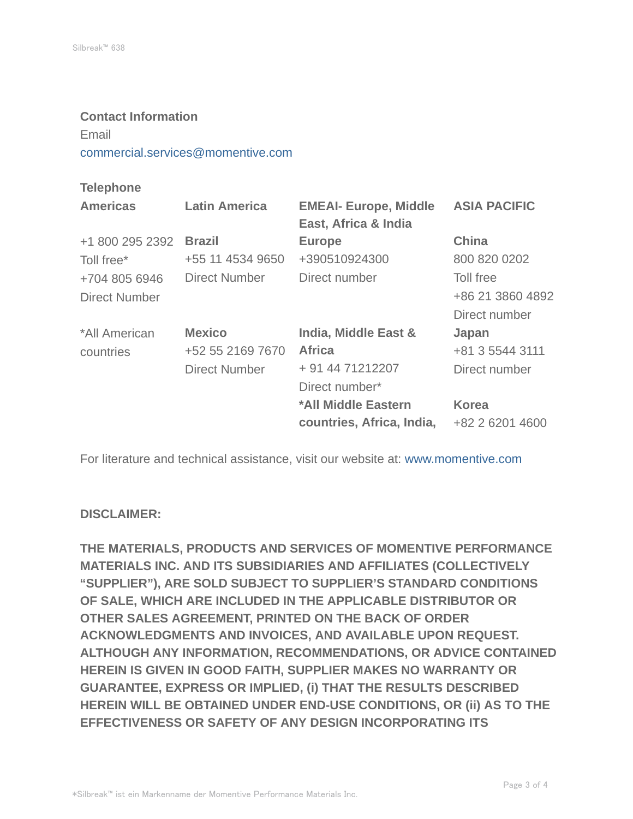#### **Contact Information**

Email

commercial.services@momentive.com

### **Telephone**

| <b>Latin America</b> | <b>EMEAI- Europe, Middle</b> | <b>ASIA PACIFIC</b>  |
|----------------------|------------------------------|----------------------|
| <b>Brazil</b>        | <b>Europe</b>                | <b>China</b>         |
| +55 11 4534 9650     | +390510924300                | 800 820 0202         |
| <b>Direct Number</b> | Direct number                | Toll free            |
|                      |                              | +86 21 3860 4892     |
|                      |                              | Direct number        |
| <b>Mexico</b>        | India, Middle East &         | Japan                |
| +52 55 2169 7670     | <b>Africa</b>                | +81 3 5544 3111      |
| <b>Direct Number</b> | + 91 44 71212207             | Direct number        |
|                      | Direct number*               |                      |
|                      | *All Middle Eastern          | <b>Korea</b>         |
|                      | countries, Africa, India,    | +82 2 6201 4600      |
|                      |                              | East, Africa & India |

For literature and technical assistance, visit our website at: www.momentive.com

#### **DISCLAIMER:**

**THE MATERIALS, PRODUCTS AND SERVICES OF MOMENTIVE PERFORMANCE MATERIALS INC. AND ITS SUBSIDIARIES AND AFFILIATES (COLLECTIVELY "SUPPLIER"), ARE SOLD SUBJECT TO SUPPLIER'S STANDARD CONDITIONS OF SALE, WHICH ARE INCLUDED IN THE APPLICABLE DISTRIBUTOR OR OTHER SALES AGREEMENT, PRINTED ON THE BACK OF ORDER ACKNOWLEDGMENTS AND INVOICES, AND AVAILABLE UPON REQUEST. ALTHOUGH ANY INFORMATION, RECOMMENDATIONS, OR ADVICE CONTAINED HEREIN IS GIVEN IN GOOD FAITH, SUPPLIER MAKES NO WARRANTY OR GUARANTEE, EXPRESS OR IMPLIED, (i) THAT THE RESULTS DESCRIBED HEREIN WILL BE OBTAINED UNDER END-USE CONDITIONS, OR (ii) AS TO THE EFFECTIVENESS OR SAFETY OF ANY DESIGN INCORPORATING ITS**